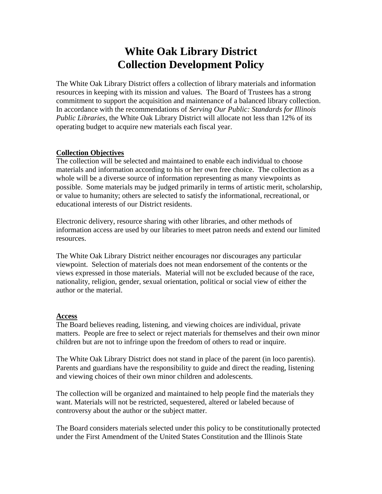# **White Oak Library District Collection Development Policy**

The White Oak Library District offers a collection of library materials and information resources in keeping with its mission and values. The Board of Trustees has a strong commitment to support the acquisition and maintenance of a balanced library collection. In accordance with the recommendations of *Serving Our Public: Standards for Illinois Public Libraries*, the White Oak Library District will allocate not less than 12% of its operating budget to acquire new materials each fiscal year.

## **Collection Objectives**

The collection will be selected and maintained to enable each individual to choose materials and information according to his or her own free choice. The collection as a whole will be a diverse source of information representing as many viewpoints as possible. Some materials may be judged primarily in terms of artistic merit, scholarship, or value to humanity; others are selected to satisfy the informational, recreational, or educational interests of our District residents.

Electronic delivery, resource sharing with other libraries, and other methods of information access are used by our libraries to meet patron needs and extend our limited resources.

The White Oak Library District neither encourages nor discourages any particular viewpoint. Selection of materials does not mean endorsement of the contents or the views expressed in those materials. Material will not be excluded because of the race, nationality, religion, gender, sexual orientation, political or social view of either the author or the material.

#### **Access**

The Board believes reading, listening, and viewing choices are individual, private matters. People are free to select or reject materials for themselves and their own minor children but are not to infringe upon the freedom of others to read or inquire.

The White Oak Library District does not stand in place of the parent (in loco parentis). Parents and guardians have the responsibility to guide and direct the reading, listening and viewing choices of their own minor children and adolescents.

The collection will be organized and maintained to help people find the materials they want. Materials will not be restricted, sequestered, altered or labeled because of controversy about the author or the subject matter.

The Board considers materials selected under this policy to be constitutionally protected under the First Amendment of the United States Constitution and the Illinois State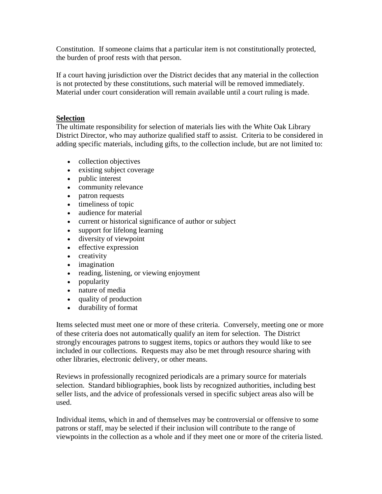Constitution. If someone claims that a particular item is not constitutionally protected, the burden of proof rests with that person.

If a court having jurisdiction over the District decides that any material in the collection is not protected by these constitutions, such material will be removed immediately. Material under court consideration will remain available until a court ruling is made.

### **Selection**

The ultimate responsibility for selection of materials lies with the White Oak Library District Director, who may authorize qualified staff to assist. Criteria to be considered in adding specific materials, including gifts, to the collection include, but are not limited to:

- collection objectives
- existing subject coverage
- public interest
- community relevance
- patron requests
- timeliness of topic
- audience for material
- current or historical significance of author or subject
- support for lifelong learning
- diversity of viewpoint
- effective expression
- creativity
- imagination
- reading, listening, or viewing enjoyment
- popularity
- nature of media
- quality of production
- durability of format

Items selected must meet one or more of these criteria. Conversely, meeting one or more of these criteria does not automatically qualify an item for selection. The District strongly encourages patrons to suggest items, topics or authors they would like to see included in our collections. Requests may also be met through resource sharing with other libraries, electronic delivery, or other means.

Reviews in professionally recognized periodicals are a primary source for materials selection. Standard bibliographies, book lists by recognized authorities, including best seller lists, and the advice of professionals versed in specific subject areas also will be used.

Individual items, which in and of themselves may be controversial or offensive to some patrons or staff, may be selected if their inclusion will contribute to the range of viewpoints in the collection as a whole and if they meet one or more of the criteria listed.